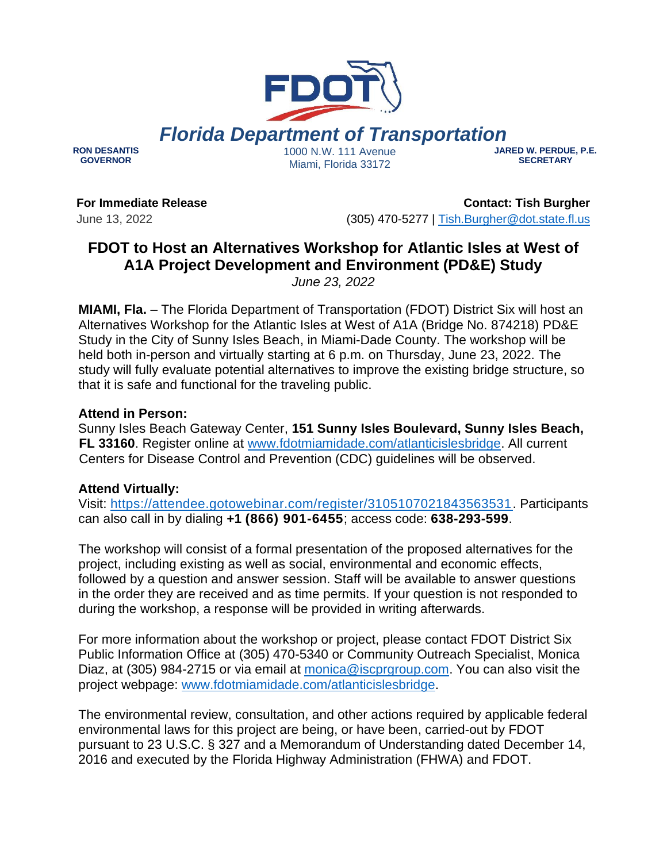# *Florida Department of Transportation*

**RON DESANTIS GOVERNOR**

1000 N.W. 111 Avenue Miami, Florida 33172

**JARED W. PERDUE, P.E. SECRETARY**

**For Immediate Release** June 13, 2022

**Contact: Tish Burgher** (305) 470-5277 | [Tish.Burgher@dot.state.fl.us](mailto:Tish.Burgher@dot.state.fl.us)

## **FDOT to Host an Alternatives Workshop for Atlantic Isles at West of A1A Project Development and Environment (PD&E) Study**

*June 23, 2022*

**MIAMI, Fla.** – The Florida Department of Transportation (FDOT) District Six will host an Alternatives Workshop for the Atlantic Isles at West of A1A (Bridge No. 874218) PD&E Study in the City of Sunny Isles Beach, in Miami-Dade County. The workshop will be held both in-person and virtually starting at 6 p.m. on Thursday, June 23, 2022. The study will fully evaluate potential alternatives to improve the existing bridge structure, so that it is safe and functional for the traveling public.

### **Attend in Person:**

Sunny Isles Beach Gateway Center, **151 Sunny Isles Boulevard, Sunny Isles Beach, FL 33160**. Register online at [www.fdotmiamidade.com/atlanticislesbridge.](http://www.fdotmiamidade.com/atlanticislesbridge) All current Centers for Disease Control and Prevention (CDC) guidelines will be observed.

### **Attend Virtually:**

Visit: [https://attendee.gotowebinar.com/register/3105107021843563531.](https://attendee.gotowebinar.com/register/3105107021843563531) Participants can also call in by dialing **+1 (866) 901-6455**; access code: **638-293-599**.

The workshop will consist of a formal presentation of the proposed alternatives for the project, including existing as well as social, environmental and economic effects, followed by a question and answer session. Staff will be available to answer questions in the order they are received and as time permits. If your question is not responded to during the workshop, a response will be provided in writing afterwards.

For more information about the workshop or project, please contact FDOT District Six Public Information Office at (305) 470-5340 or Community Outreach Specialist, Monica Diaz, at (305) 984-2715 or via email at [monica@iscprgroup.com.](mailto:monica@iscprgroup.com) You can also visit the project webpage: [www.fdotmiamidade.com/atlanticislesbridge.](http://www.fdotmiamidade.com/atlanticislesbridge)

The environmental review, consultation, and other actions required by applicable federal environmental laws for this project are being, or have been, carried-out by FDOT pursuant to 23 U.S.C. § 327 and a Memorandum of Understanding dated December 14, 2016 and executed by the Florida Highway Administration (FHWA) and FDOT.